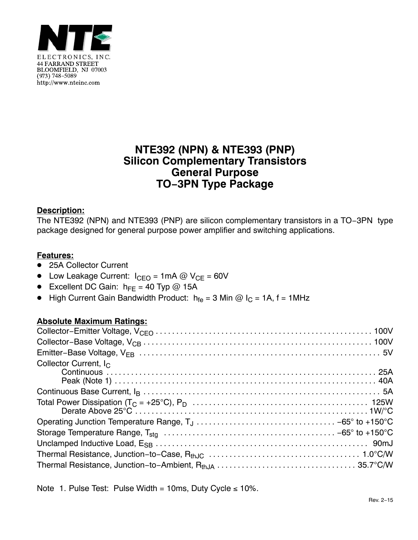

# **NTE392 (NPN) & NTE393 (PNP) Silicon Complementary Transistors General Purpose TO−3PN Type Package**

## **Description:**

The NTE392 (NPN) and NTE393 (PNP) are silicon complementary transistors in a TO−3PN type package designed for general purpose power amplifier and switching applications.

### **Features:**

- 25A Collector Current
- Low Leakage Current:  $I_{\text{CEO}} = 1 \text{mA} \textcircled{O} V_{\text{CE}} = 60 V$
- Excellent DC Gain:  $h_{FE} = 40$  Typ @ 15A
- High Current Gain Bandwidth Product:  $h_{fe} = 3$  Min @ I<sub>C</sub> = 1A, f = 1MHz

### **Absolute Maximum Ratings:**

| Collector Current, $I_{\rm C}$ |  |
|--------------------------------|--|
|                                |  |
|                                |  |
|                                |  |
|                                |  |
|                                |  |
|                                |  |
|                                |  |

Note 1. Pulse Test: Pulse Width = 10ms, Duty Cycle  $\leq 10\%$ .